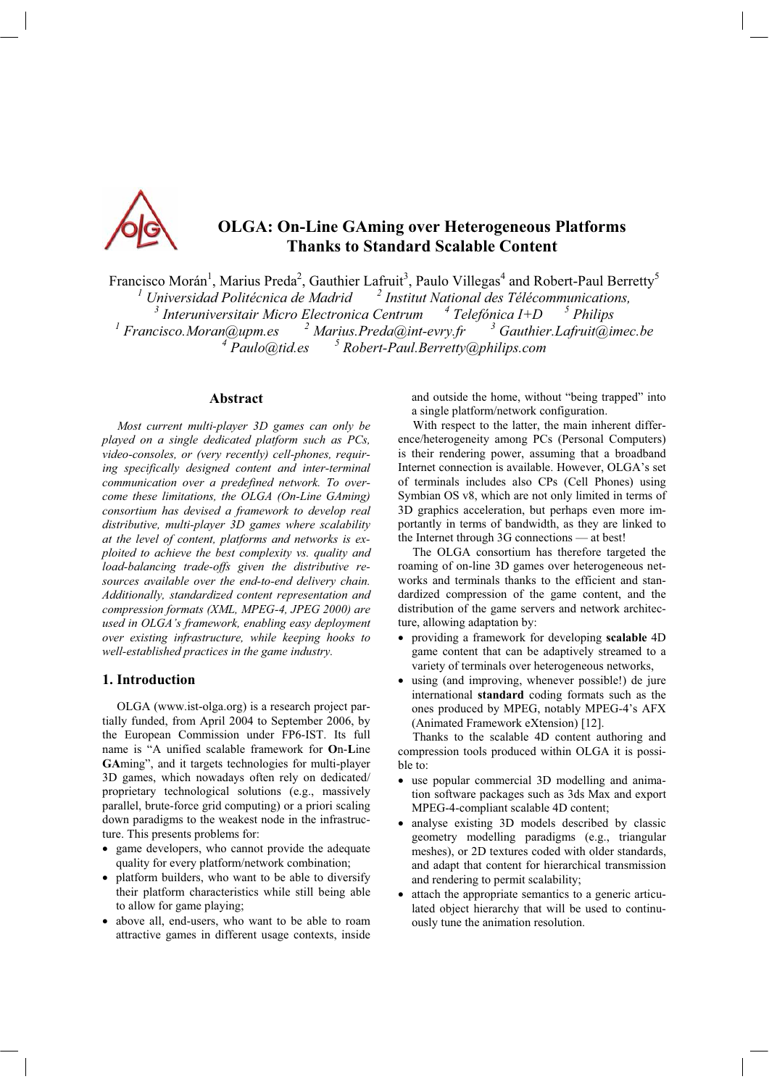

# **OLGA: On-Line GAming over Heterogeneous Platforms Thanks to Standard Scalable Content**

Francisco Morán<sup>1</sup>, Marius Preda<sup>2</sup>, Gauthier Lafruit<sup>3</sup>, Paulo Villegas<sup>4</sup> and Robert-Paul Berretty<sup>5</sup> *1 Universidad Politécnica de Madrid <sup>2</sup> Institut National des Télécommunications,*  <sup>3</sup> Interuniversitair Micro Electronica Centrum  $4$  Telefónica I+D  $5$  Philips<br><sup>1</sup> Francisco.Moran@upm.es  $3$  Marius.Preda@int-evry.fr  $3$  Gauthier.Lafruit@imec.be<br><sup>4</sup> Paulo@tid.es  $3$  Robert-Paul.Berretty@philips.com

# **Abstract**

*Most current multi-player 3D games can only be played on a single dedicated platform such as PCs, video-consoles, or (very recently) cell-phones, requiring specifically designed content and inter-terminal communication over a predefined network. To overcome these limitations, the OLGA (On-Line GAming) consortium has devised a framework to develop real distributive, multi-player 3D games where scalability at the level of content, platforms and networks is exploited to achieve the best complexity vs. quality and load-balancing trade-offs given the distributive resources available over the end-to-end delivery chain. Additionally, standardized content representation and compression formats (XML, MPEG-4, JPEG 2000) are used in OLGA's framework, enabling easy deployment over existing infrastructure, while keeping hooks to well-established practices in the game industry.*

#### **1. Introduction**

OLGA (www.ist-olga.org) is a research project partially funded, from April 2004 to September 2006, by the European Commission under FP6-IST. Its full name is "A unified scalable framework for On-Line GAming", and it targets technologies for multi-player 3D games, which nowadays often rely on dedicated/ proprietary technological solutions (e.g., massively parallel, brute-force grid computing) or a priori scaling down paradigms to the weakest node in the infrastructure. This presents problems for:

- game developers, who cannot provide the adequate quality for every platform/network combination;
- platform builders, who want to be able to diversify their platform characteristics while still being able to allow for game playing;
- above all, end-users, who want to be able to roam attractive games in different usage contexts, inside

and outside the home, without "being trapped" into a single platform/network configuration.

With respect to the latter, the main inherent difference/heterogeneity among PCs (Personal Computers) is their rendering power, assuming that a broadband Internet connection is available. However, OLGA's set of terminals includes also CPs (Cell Phones) using Symbian OS v8, which are not only limited in terms of 3D graphics acceleration, but perhaps even more importantly in terms of bandwidth, as they are linked to the Internet through  $3G$  connections  $-$  at best!

The OLGA consortium has therefore targeted the roaming of on-line 3D games over heterogeneous networks and terminals thanks to the efficient and standardized compression of the game content, and the distribution of the game servers and network architecture, allowing adaptation by:

- x providing a framework for developing **scalable** 4D game content that can be adaptively streamed to a variety of terminals over heterogeneous networks,
- using (and improving, whenever possible!) de jure international **standard** coding formats such as the ones produced by MPEG, notably MPEG-4's AFX (Animated Framework eXtension) [12].

Thanks to the scalable 4D content authoring and compression tools produced within OLGA it is possible to:

- use popular commercial 3D modelling and animation software packages such as 3ds Max and export MPEG-4-compliant scalable 4D content;
- analyse existing 3D models described by classic geometry modelling paradigms (e.g., triangular meshes), or 2D textures coded with older standards, and adapt that content for hierarchical transmission and rendering to permit scalability;
- attach the appropriate semantics to a generic articulated object hierarchy that will be used to continuously tune the animation resolution.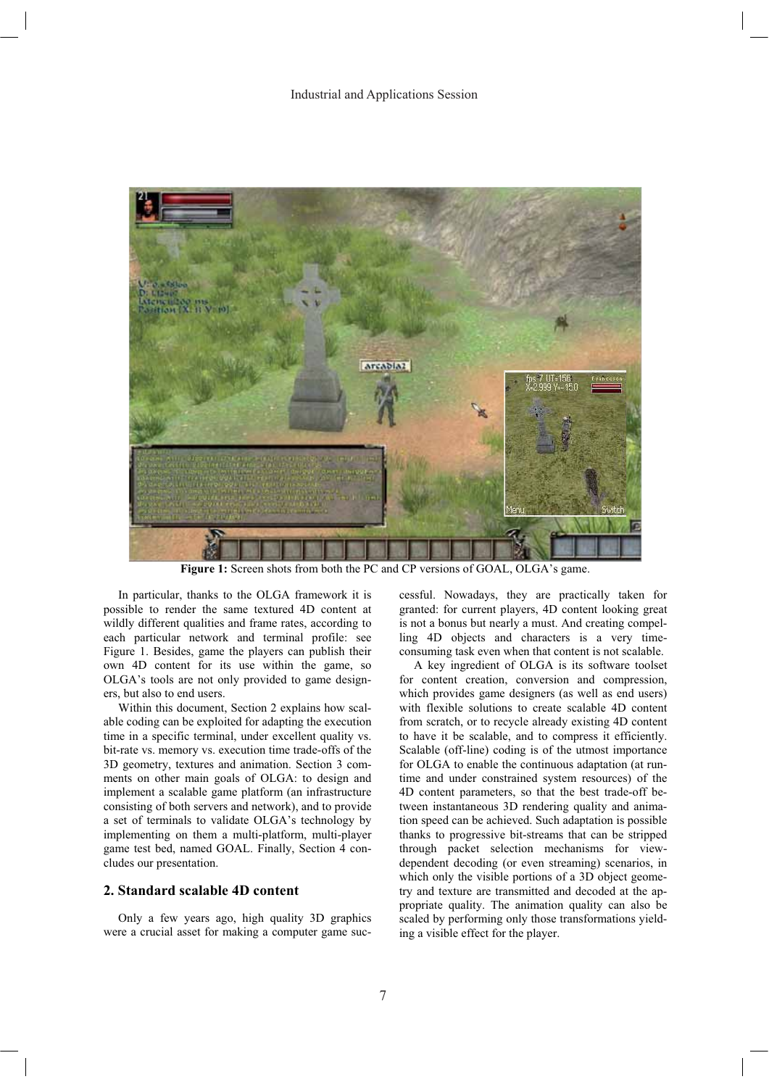

Figure 1: Screen shots from both the PC and CP versions of GOAL, OLGA's game.

In particular, thanks to the OLGA framework it is possible to render the same textured 4D content at wildly different qualities and frame rates, according to each particular network and terminal profile: see Figure 1. Besides, game the players can publish their own 4D content for its use within the game, so OLGA's tools are not only provided to game designers, but also to end users.

Within this document, Section 2 explains how scal able coding can be exploited for adapting the execution time in a specific terminal, under excellent quality vs. bit-rate vs. memory vs. execution time trade-offs of the 3D geometry, textures and animation. Section 3 comments on other main goals of OLGA: to design and implement a scalable game platform (an infrastructure consisting of both servers and network), and to provide a set of terminals to validate OLGA's technology by implementing on them a multi-platform, multi-player game test bed, named GOAL. Finally, Section 4 concludes our presentation.

## **2. Standard scalable 4D content**

Only a few years ago, high quality  $3D$  graphics were a crucial asset for making a computer game successful. Nowadays, they are practically taken for granted: for current players, 4D content looking great is not a bonus but nearly a must. And creating compelling 4D objects and characters is a very timeconsuming task even when that content is not scalable.

A key ingredient of OLGA is its software toolset for content creation, conversion and compression, which provides game designers (as well as end users) with flexible solutions to create scalable 4D content from scratch, or to recycle already existing 4D content to have it be scalable, and to compress it efficiently. Scalable (off-line) coding is of the utmost importance for OLGA to enable the continuous adaptation (at runtime and under constrained system resources) of the 4D content parameters, so that the best trade-off between instantaneous 3D rendering quality and animation speed can be achieved. Such adaptation is possible thanks to progressive bit-streams that can be stripped through packet selection mechanisms for viewdependent decoding (or even streaming) scenarios, in which only the visible portions of a 3D object geometry and texture are transmitted and decoded at the ap propriate quality. The animation quality can also be scaled by performing only those transformations yielding a visible effect for the player.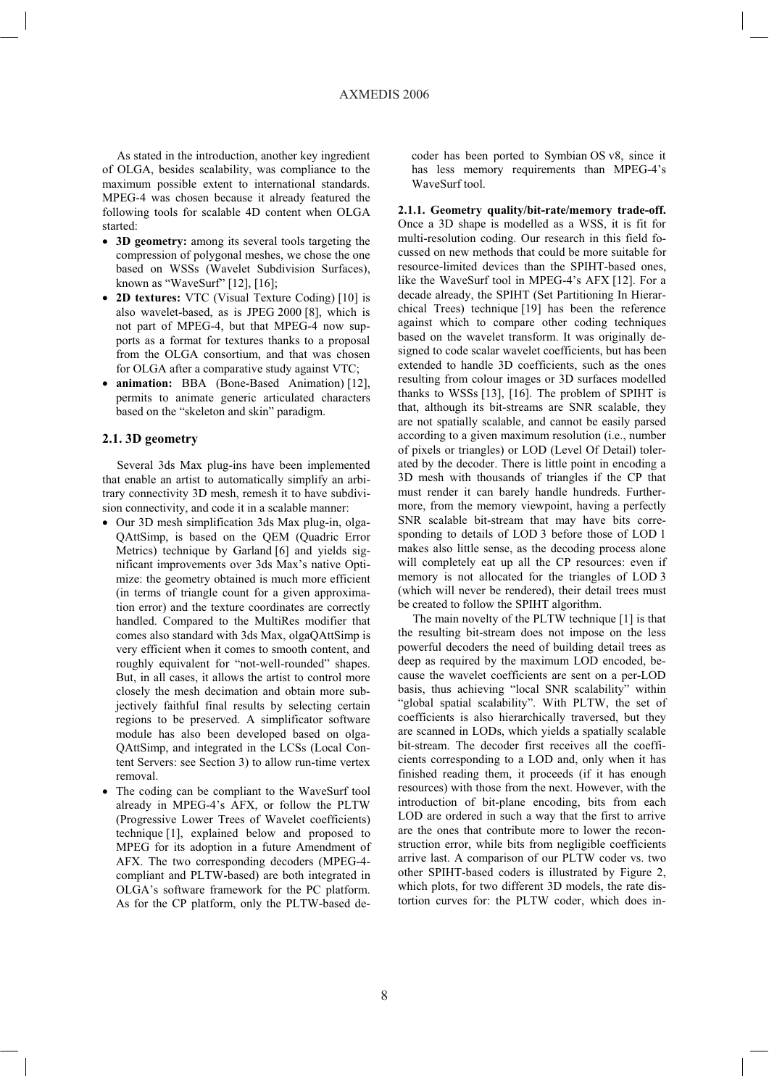As stated in the introduction, another key ingredient of OLGA, besides scalability, was compliance to the maximum possible extent to international standards. MPEG-4 was chosen because it already featured the following tools for scalable 4D content when OLGA started:

- 3D geometry: among its several tools targeting the compression of polygonal meshes, we chose the one based on WSSs (Wavelet Subdivision Surfaces), known as "WaveSurf"  $[12]$ ,  $[16]$ ;
- 2D textures: VTC (Visual Texture Coding) [10] is also wavelet-based, as is JPEG 2000 [8], which is not part of MPEG-4, but that MPEG-4 now supports as a format for textures thanks to a proposal from the OLGA consortium, and that was chosen for OLGA after a comparative study against VTC;
- **animation:** BBA (Bone-Based Animation) [12]. permits to animate generic articulated characters based on the "skeleton and skin" paradigm.

## **2.1. 3D geometry**

Several 3ds Max plug-ins have been implemented that enable an artist to automatically simplify an arbitrary connectivity 3D mesh, remesh it to have subdivision connectivity, and code it in a scalable manner:

- Our 3D mesh simplification 3ds Max plug-in, olga-QAttSimp, is based on the QEM (Quadric Error Metrics) technique by Garland [6] and yields significant improvements over 3ds Max's native Optimize: the geometry obtained is much more efficient (in terms of triangle count for a given approximation error) and the texture coordinates are correctly handled. Compared to the MultiRes modifier that comes also standard with 3ds Max, olgaQAttSimp is very efficient when it comes to smooth content, and roughly equivalent for "not-well-rounded" shapes. But, in all cases, it allows the artist to control more closely the mesh decimation and obtain more subjectively faithful final results by selecting certain regions to be preserved. A simplificator software module has also been developed based on olga-QAttSimp, and integrated in the LCSs (Local Content Servers: see Section 3) to allow run-time vertex removal.
- The coding can be compliant to the WaveSurf tool already in MPEG-4's AFX, or follow the PLTW (Progressive Lower Trees of Wavelet coefficients) technique [1], explained below and proposed to MPEG for its adoption in a future Amendment of AFX. The two corresponding decoders (MPEG-4compliant and PLTW-based) are both integrated in OLGA's software framework for the PC platform. As for the CP platform, only the PLTW-based de-

coder has been ported to Symbian OS v8, since it has less memory requirements than MPEG-4's WaveSurf tool.

**2.1.1. Geometry quality/bit-rate/memory trade-off.** Once a 3D shape is modelled as a WSS, it is fit for multi-resolution coding. Our research in this field focussed on new methods that could be more suitable for resource-limited devices than the SPIHT-based ones, like the WaveSurf tool in MPEG-4's AFX [12]. For a decade already, the SPIHT (Set Partitioning In Hierarchical Trees) technique [19] has been the reference against which to compare other coding techniques based on the wavelet transform. It was originally designed to code scalar wavelet coefficients, but has been extended to handle 3D coefficients, such as the ones resulting from colour images or 3D surfaces modelled thanks to WSSs  $[13]$ ,  $[16]$ . The problem of SPIHT is that, although its bit-streams are SNR scalable, they are not spatially scalable, and cannot be easily parsed according to a given maximum resolution (i.e., number of pixels or triangles) or LOD (Level Of Detail) tolerated by the decoder. There is little point in encoding a 3D mesh with thousands of triangles if the CP that must render it can barely handle hundreds. Furthermore, from the memory viewpoint, having a perfectly SNR scalable bit-stream that may have bits corresponding to details of LOD 3 before those of LOD 1 makes also little sense, as the decoding process alone will completely eat up all the CP resources: even if memory is not allocated for the triangles of LOD 3 (which will never be rendered), their detail trees must be created to follow the SPIHT algorithm.

The main novelty of the PLTW technique  $[1]$  is that the resulting bit-stream does not impose on the less powerful decoders the need of building detail trees as deep as required by the maximum LOD encoded, because the wavelet coefficients are sent on a per-LOD basis, thus achieving "local SNR scalability" within "global spatial scalability". With PLTW, the set of coefficients is also hierarchically traversed, but they are scanned in LODs, which yields a spatially scalable bit-stream. The decoder first receives all the coefficients corresponding to a LOD and, only when it has finished reading them, it proceeds (if it has enough resources) with those from the next. However, with the introduction of bit-plane encoding, bits from each LOD are ordered in such a way that the first to arrive are the ones that contribute more to lower the reconstruction error, while bits from negligible coefficients arrive last. A comparison of our PLTW coder vs. two other SPIHT-based coders is illustrated by Figure 2, which plots, for two different 3D models, the rate distortion curves for: the PLTW coder, which does in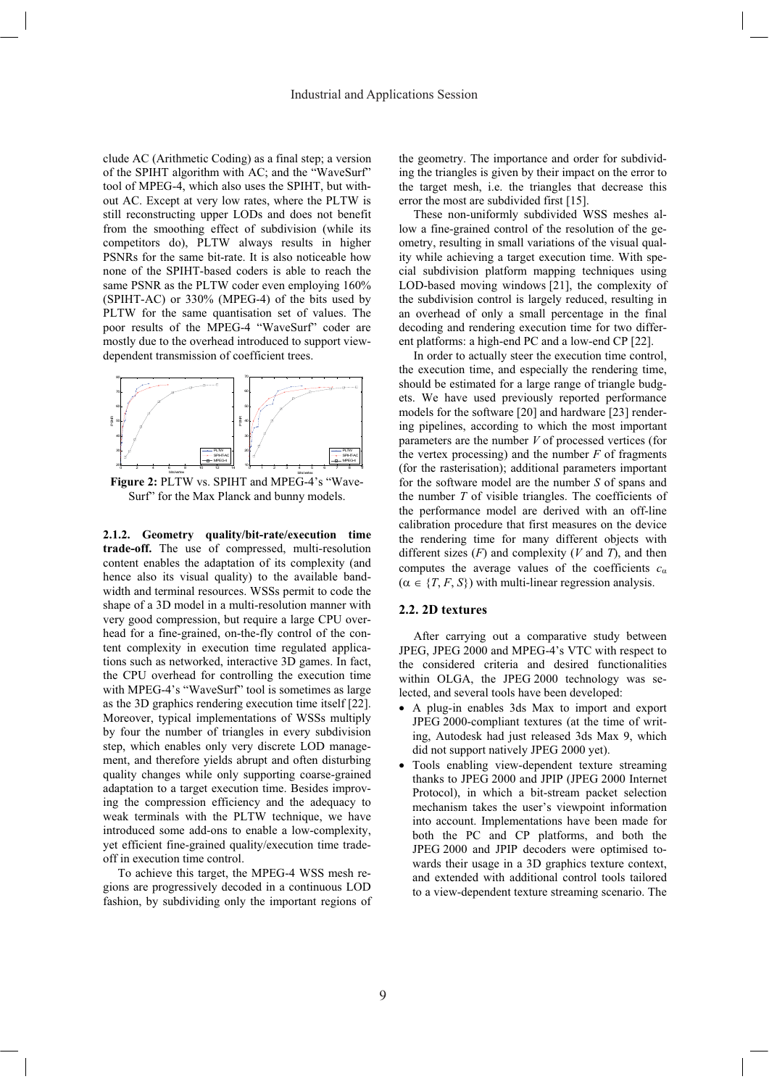clude AC (Arithmetic Coding) as a final step; a version of the SPIHT algorithm with AC; and the "WaveSurf" tool of MPEG-4, which also uses the SPIHT, but without AC. Except at very low rates, where the PLTW is still reconstructing upper LODs and does not benefit from the smoothing effect of subdivision (while its competitors do), PLTW always results in higher PSNRs for the same bit-rate. It is also noticeable how none of the SPIHT-based coders is able to reach the same PSNR as the PLTW coder even employing 160% (SPIHT-AC) or 330% (MPEG-4) of the bits used by PLTW for the same quantisation set of values. The poor results of the MPEG-4 "WaveSurf" coder are mostly due to the overhead introduced to support viewdependent transmission of coefficient trees.



**Figure 2: PLTW vs. SPIHT and MPEG-4's "Wave-**Surf" for the Max Planck and bunny models.

**2.1.2. Geometry quality/bit-rate/execution time trade-off.** The use of compressed, multi-resolution content enables the adaptation of its complexity (and hence also its visual quality) to the available bandwidth and terminal resources. WSSs permit to code the shape of a 3D model in a multi-resolution manner with very good compression, but require a large CPU overhead for a fine-grained, on-the-fly control of the content complexity in execution time regulated applications such as networked, interactive 3D games. In fact, the CPU overhead for controlling the execution time with MPEG-4's "WaveSurf" tool is sometimes as large as the 3D graphics rendering execution time itself [22]. Moreover, typical implementations of WSSs multiply by four the number of triangles in every subdivision step, which enables only very discrete LOD management, and therefore yields abrupt and often disturbing quality changes while only supporting coarse-grained adaptation to a target execution time. Besides improving the compression efficiency and the adequacy to weak terminals with the PLTW technique, we have introduced some add-ons to enable a low-complexity, yet efficient fine-grained quality/execution time tradeoff in execution time control.

To achieve this target, the MPEG-4 WSS mesh regions are progressively decoded in a continuous LOD fashion, by subdividing only the important regions of the geometry. The importance and order for subdividing the triangles is given by their impact on the error to the target mesh, i.e. the triangles that decrease this error the most are subdivided first [15].

These non-uniformly subdivided WSS meshes allow a fine-grained control of the resolution of the geometry, resulting in small variations of the visual quality while achieving a target execution time. With special subdivision platform mapping techniques using LOD-based moving windows [21], the complexity of the subdivision control is largely reduced, resulting in an overhead of only a small percentage in the final decoding and rendering execution time for two different platforms: a high-end PC and a low-end CP [22].

In order to actually steer the execution time control, the execution time, and especially the rendering time, should be estimated for a large range of triangle budgets. We have used previously reported performance models for the software [20] and hardware [23] rendering pipelines, according to which the most important parameters are the number *V* of processed vertices (for the vertex processing) and the number  $F$  of fragments (for the rasterisation); additional parameters important for the software model are the number *S* of spans and the number *T* of visible triangles. The coefficients of the performance model are derived with an off-line calibration procedure that first measures on the device the rendering time for many different objects with different sizes (*F*) and complexity (*V* and *T*), and then computes the average values of the coefficients  $c_{\alpha}$  $(\alpha \in \{T, F, S\})$  with multi-linear regression analysis.

# **2.2. 2D textures**

After carrying out a comparative study between JPEG, JPEG 2000 and MPEG-4's VTC with respect to the considered criteria and desired functionalities within OLGA, the JPEG 2000 technology was selected, and several tools have been developed:

- x A plug-in enables 3ds Max to import and export JPEG 2000-compliant textures (at the time of writing, Autodesk had just released 3ds Max 9, which did not support natively JPEG 2000 yet).
- Tools enabling view-dependent texture streaming thanks to JPEG 2000 and JPIP (JPEG 2000 Internet Protocol), in which a bit-stream packet selection mechanism takes the user's viewpoint information into account. Implementations have been made for both the PC and CP platforms, and both the JPEG 2000 and JPIP decoders were optimised towards their usage in a 3D graphics texture context, and extended with additional control tools tailored to a view-dependent texture streaming scenario. The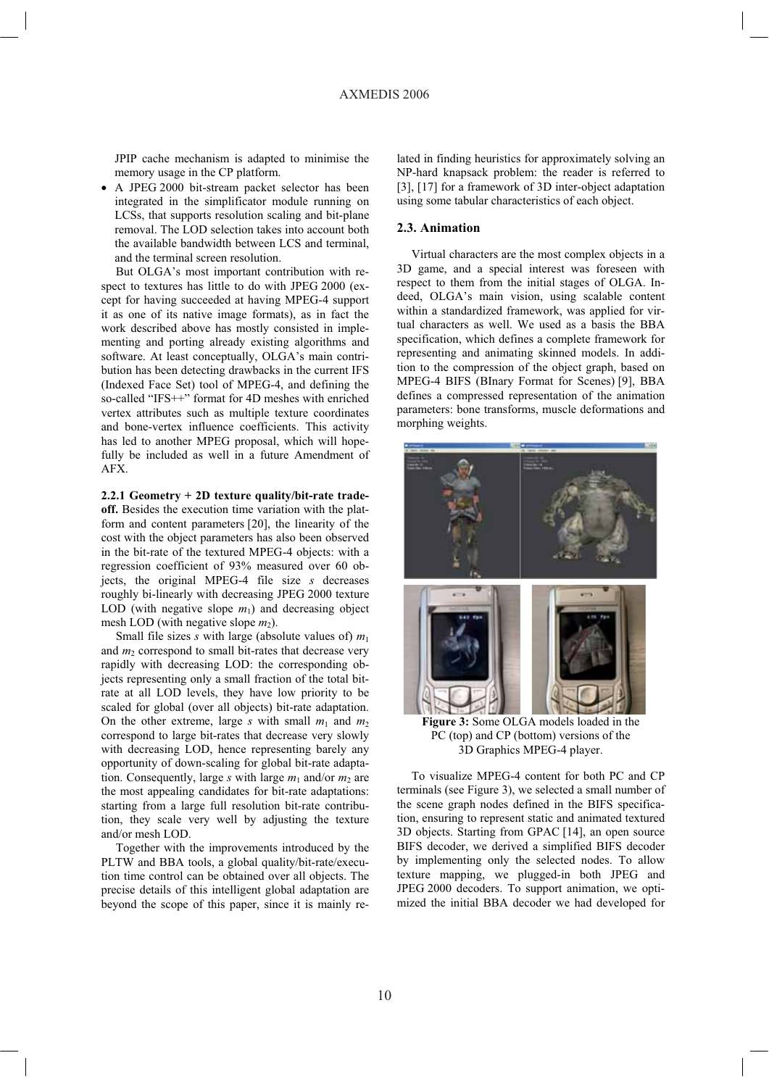JPIP cache mechanism is adapted to minimise the memory usage in the CP platform.

• A JPEG 2000 bit-stream packet selector has been integrated in the simplificator module running on LCSs, that supports resolution scaling and bit-plane removal. The LOD selection takes into account both the available bandwidth between LCS and terminal, and the terminal screen resolution.

But OLGA's most important contribution with respect to textures has little to do with JPEG 2000 (except for having succeeded at having MPEG-4 support it as one of its native image formats), as in fact the work described above has mostly consisted in implementing and porting already existing algorithms and software. At least conceptually, OLGA's main contribution has been detecting drawbacks in the current IFS (Indexed Face Set) tool of MPEG-4, and defining the so-called "IFS++" format for 4D meshes with enriched vertex attributes such as multiple texture coordinates and bone-vertex influence coefficients. This activity has led to another MPEG proposal, which will hopefully be included as well in a future Amendment of AFX.

**2.2.1 Geometry + 2D texture quality/bit-rate tradeoff.** Besides the execution time variation with the platform and content parameters [20], the linearity of the cost with the object parameters has also been observed in the bit-rate of the textured MPEG-4 objects: with a regression coefficient of 93% measured over 60 objects, the original MPEG-4 file size *s* decreases roughly bi-linearly with decreasing JPEG 2000 texture LOD (with negative slope  $m_1$ ) and decreasing object mesh LOD (with negative slope  $m_2$ ).

Small file sizes *s* with large (absolute values of)  $m_1$ and  $m_2$  correspond to small bit-rates that decrease very rapidly with decreasing LOD: the corresponding objects representing only a small fraction of the total bitrate at all LOD levels, they have low priority to be scaled for global (over all objects) bit-rate adaptation. On the other extreme, large *s* with small  $m_1$  and  $m_2$ correspond to large bit-rates that decrease very slowly with decreasing LOD, hence representing barely any opportunity of down-scaling for global bit-rate adaptation. Consequently, large *s* with large  $m_1$  and/or  $m_2$  are the most appealing candidates for bit-rate adaptations: starting from a large full resolution bit-rate contribution, they scale very well by adjusting the texture and/or mesh LOD.

Together with the improvements introduced by the PLTW and BBA tools, a global quality/bit-rate/execution time control can be obtained over all objects. The precise details of this intelligent global adaptation are beyond the scope of this paper, since it is mainly related in finding heuristics for approximately solving an NP-hard knapsack problem: the reader is referred to [3], [17] for a framework of 3D inter-object adaptation using some tabular characteristics of each object.

# **2.3. Animation**

Virtual characters are the most complex objects in a 3D game, and a special interest was foreseen with respect to them from the initial stages of OLGA. Indeed, OLGA's main vision, using scalable content within a standardized framework, was applied for virtual characters as well. We used as a basis the BBA specification, which defines a complete framework for representing and animating skinned models. In addition to the compression of the object graph, based on MPEG-4 BIFS (BInary Format for Scenes) [9], BBA defines a compressed representation of the animation parameters: bone transforms, muscle deformations and morphing weights.



**Figure 3:** Some OLGA models loaded in the PC (top) and CP (bottom) versions of the 3D Graphics MPEG-4 player.

To visualize MPEG-4 content for both PC and CP terminals (see Figure 3), we selected a small number of the scene graph nodes defined in the BIFS specification, ensuring to represent static and animated textured 3D objects. Starting from GPAC [14], an open source BIFS decoder, we derived a simplified BIFS decoder by implementing only the selected nodes. To allow texture mapping, we plugged-in both JPEG and JPEG 2000 decoders. To support animation, we optimized the initial BBA decoder we had developed for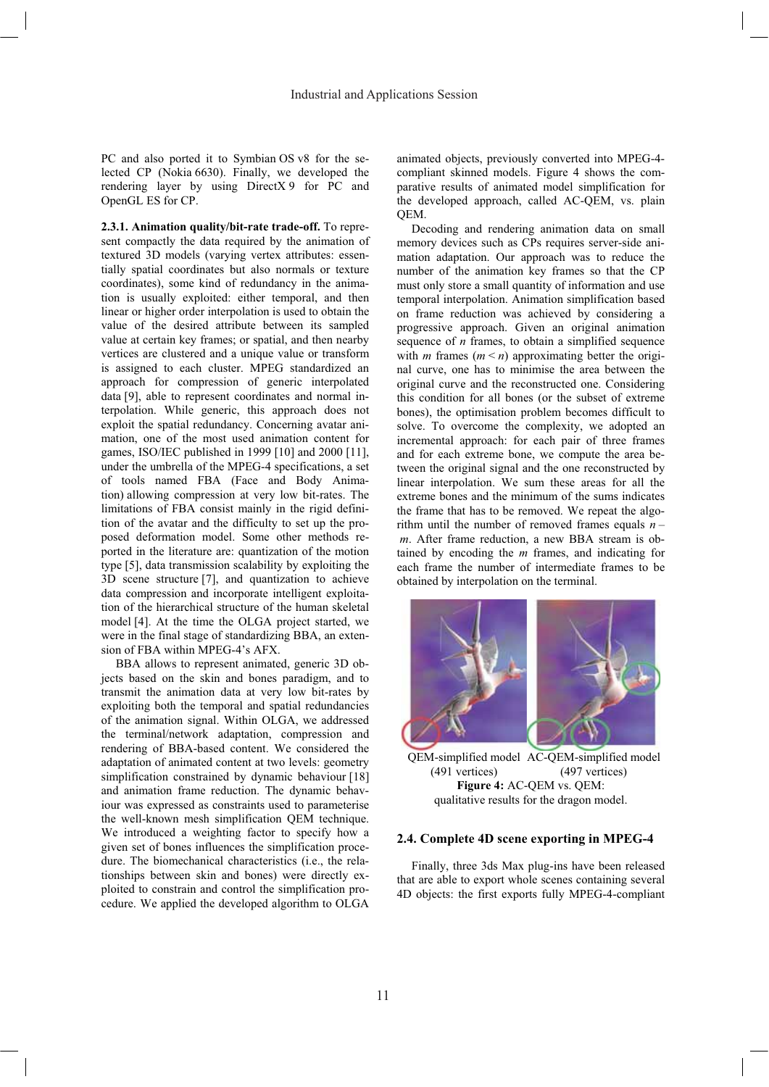PC and also ported it to Symbian OS v8 for the selected CP (Nokia 6630). Finally, we developed the rendering layer by using DirectX 9 for PC and OpenGL ES for CP.

**2.3.1. Animation quality/bit-rate trade-off.** To represent compactly the data required by the animation of textured 3D models (varying vertex attributes: essentially spatial coordinates but also normals or texture coordinates), some kind of redundancy in the animation is usually exploited: either temporal, and then linear or higher order interpolation is used to obtain the value of the desired attribute between its sampled value at certain key frames; or spatial, and then nearby vertices are clustered and a unique value or transform is assigned to each cluster. MPEG standardized an approach for compression of generic interpolated data [9], able to represent coordinates and normal interpolation. While generic, this approach does not exploit the spatial redundancy. Concerning avatar animation, one of the most used animation content for games, ISO/IEC published in 1999 [10] and 2000 [11], under the umbrella of the MPEG-4 specifications, a set of tools named FBA (Face and Body Animation) allowing compression at very low bit-rates. The limitations of FBA consist mainly in the rigid definition of the avatar and the difficulty to set up the proposed deformation model. Some other methods reported in the literature are: quantization of the motion type [5], data transmission scalability by exploiting the 3D scene structure [7], and quantization to achieve data compression and incorporate intelligent exploitation of the hierarchical structure of the human skeletal model [4]. At the time the OLGA project started, we were in the final stage of standardizing BBA, an extension of FBA within MPEG-4's AFX.

BBA allows to represent animated, generic 3D objects based on the skin and bones paradigm, and to transmit the animation data at very low bit-rates by exploiting both the temporal and spatial redundancies of the animation signal. Within OLGA, we addressed the terminal/network adaptation, compression and rendering of BBA-based content. We considered the adaptation of animated content at two levels: geometry simplification constrained by dynamic behaviour [18] and animation frame reduction. The dynamic behaviour was expressed as constraints used to parameterise the well-known mesh simplification QEM technique. We introduced a weighting factor to specify how a given set of bones influences the simplification procedure. The biomechanical characteristics (i.e., the relationships between skin and bones) were directly exploited to constrain and control the simplification procedure. We applied the developed algorithm to OLGA

animated objects, previously converted into MPEG-4 compliant skinned models. Figure 4 shows the comparative results of animated model simplification for the developed approach, called AC-QEM, vs. plain QEM.

Decoding and rendering animation data on small memory devices such as CPs requires server-side animation adaptation. Our approach was to reduce the number of the animation key frames so that the CP must only store a small quantity of information and use temporal interpolation. Animation simplification based on frame reduction was achieved by considering a progressive approach. Given an original animation sequence of *n* frames, to obtain a simplified sequence with *m* frames  $(m < n)$  approximating better the original curve, one has to minimise the area between the original curve and the reconstructed one. Considering this condition for all bones (or the subset of extreme bones), the optimisation problem becomes difficult to solve. To overcome the complexity, we adopted an incremental approach: for each pair of three frames and for each extreme bone, we compute the area between the original signal and the one reconstructed by linear interpolation. We sum these areas for all the extreme bones and the minimum of the sums indicates the frame that has to be removed. We repeat the algorithm until the number of removed frames equals  $n$ *m*. After frame reduction, a new BBA stream is obtained by encoding the *m* frames, and indicating for each frame the number of intermediate frames to be obtained by interpolation on the terminal.



QEM-simplified model AC-QEM-simplified model (491 vertices) (497 vertices) **Figure 4:** AC-QEM vs. QEM: qualitative results for the dragon model.

#### **2.4. Complete 4D scene exporting in MPEG-4**

Finally, three 3ds Max plug-ins have been released that are able to export whole scenes containing several 4D objects: the first exports fully MPEG-4-compliant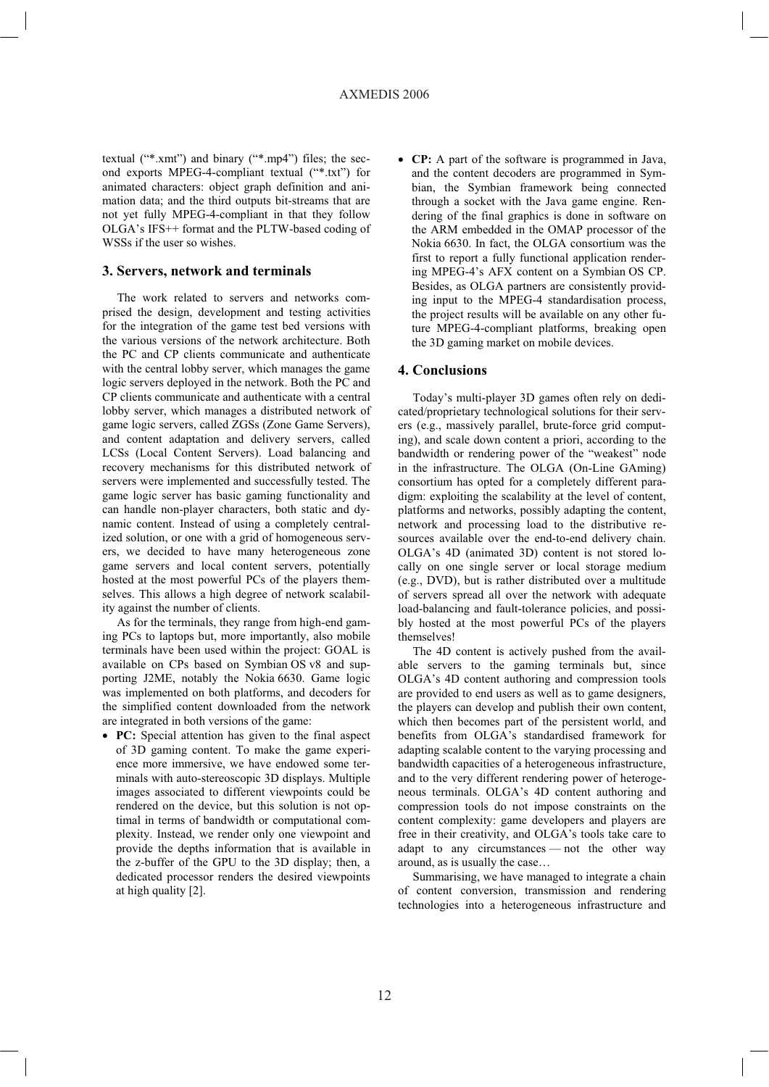textual  $(**.xmt")$  and binary  $(**.mp4")$  files; the second exports MPEG-4-compliant textual ("\*.txt") for animated characters: object graph definition and animation data; and the third outputs bit-streams that are not yet fully MPEG-4-compliant in that they follow OLGA's IFS++ format and the PLTW-based coding of WSSs if the user so wishes.

## **3. Servers, network and terminals**

The work related to servers and networks comprised the design, development and testing activities for the integration of the game test bed versions with the various versions of the network architecture. Both the PC and CP clients communicate and authenticate with the central lobby server, which manages the game logic servers deployed in the network. Both the PC and CP clients communicate and authenticate with a central lobby server, which manages a distributed network of game logic servers, called ZGSs (Zone Game Servers), and content adaptation and delivery servers, called LCSs (Local Content Servers). Load balancing and recovery mechanisms for this distributed network of servers were implemented and successfully tested. The game logic server has basic gaming functionality and can handle non-player characters, both static and dynamic content. Instead of using a completely centralized solution, or one with a grid of homogeneous servers, we decided to have many heterogeneous zone game servers and local content servers, potentially hosted at the most powerful PCs of the players themselves. This allows a high degree of network scalability against the number of clients.

As for the terminals, they range from high-end gaming PCs to laptops but, more importantly, also mobile terminals have been used within the project: GOAL is available on CPs based on Symbian OS v8 and supporting J2ME, notably the Nokia 6630. Game logic was implemented on both platforms, and decoders for the simplified content downloaded from the network are integrated in both versions of the game:

• PC: Special attention has given to the final aspect of 3D gaming content. To make the game experience more immersive, we have endowed some terminals with auto-stereoscopic 3D displays. Multiple images associated to different viewpoints could be rendered on the device, but this solution is not optimal in terms of bandwidth or computational complexity. Instead, we render only one viewpoint and provide the depths information that is available in the z-buffer of the GPU to the 3D display; then, a dedicated processor renders the desired viewpoints at high quality  $[2]$ .

• CP: A part of the software is programmed in Java, and the content decoders are programmed in Symbian, the Symbian framework being connected through a socket with the Java game engine. Rendering of the final graphics is done in software on the ARM embedded in the OMAP processor of the Nokia 6630. In fact, the OLGA consortium was the first to report a fully functional application rendering MPEG-4's AFX content on a Symbian OS CP. Besides, as OLGA partners are consistently providing input to the MPEG-4 standardisation process, the project results will be available on any other future MPEG-4-compliant platforms, breaking open the 3D gaming market on mobile devices.

# **4. Conclusions**

Today's multi-player 3D games often rely on dedicated/proprietary technological solutions for their servers (e.g., massively parallel, brute-force grid computing), and scale down content a priori, according to the bandwidth or rendering power of the "weakest" node in the infrastructure. The OLGA (On-Line GAming) consortium has opted for a completely different paradigm: exploiting the scalability at the level of content, platforms and networks, possibly adapting the content, network and processing load to the distributive resources available over the end-to-end delivery chain. OLGA's 4D (animated 3D) content is not stored locally on one single server or local storage medium (e.g., DVD), but is rather distributed over a multitude of servers spread all over the network with adequate load-balancing and fault-tolerance policies, and possibly hosted at the most powerful PCs of the players themselves!

The 4D content is actively pushed from the available servers to the gaming terminals but, since OLGA's 4D content authoring and compression tools are provided to end users as well as to game designers, the players can develop and publish their own content, which then becomes part of the persistent world, and benefits from OLGA's standardised framework for adapting scalable content to the varying processing and bandwidth capacities of a heterogeneous infrastructure, and to the very different rendering power of heterogeneous terminals. OLGA's 4D content authoring and compression tools do not impose constraints on the content complexity: game developers and players are free in their creativity, and OLGA's tools take care to adapt to any circumstances  $-$  not the other way around, as is usually the case...

Summarising, we have managed to integrate a chain of content conversion, transmission and rendering technologies into a heterogeneous infrastructure and